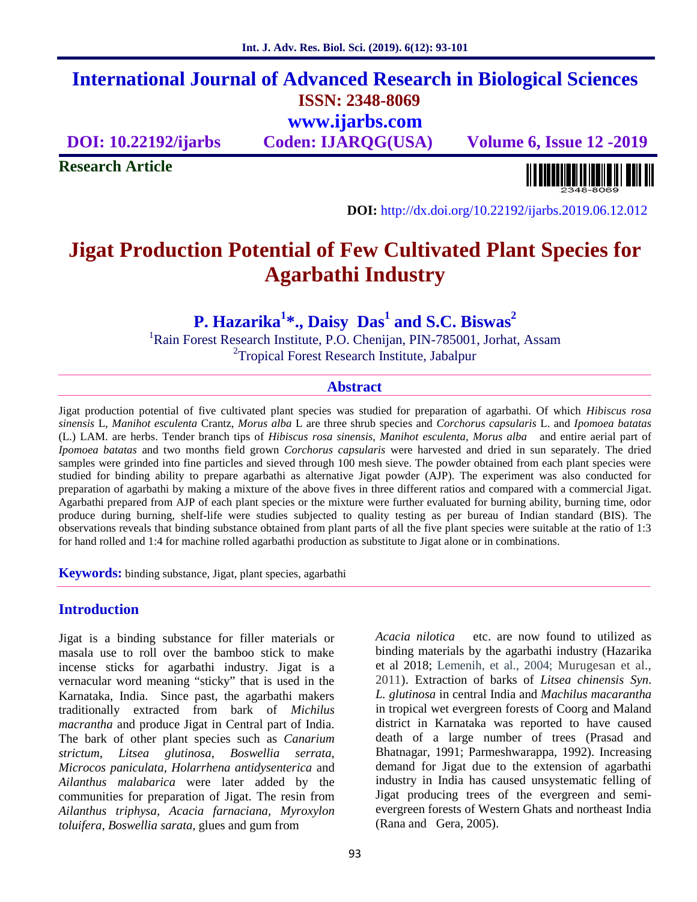# **International Journal of Advanced Research in Biological Sciences ISSN: 2348-8069 www.ijarbs.com**

**DOI: 10.22192/ijarbs Coden: IJARQG(USA) Volume 6, Issue 12 -2019**

**Research Article**

**DOI:** http://dx.doi.org/10.22192/ijarbs.2019.06.12.012

# **Jigat Production Potential of Few Cultivated Plant Species for Agarbathi Industry**

**P. Hazarika<sup>1</sup>\*., Daisy Das<sup>1</sup> and S.C. Biswas<sup>2</sup>**

<sup>1</sup>Rain Forest Research Institute, P.O. Chenijan, PIN-785001, Jorhat, Assam <sup>2</sup>Tropical Forest Research Institute, Jabalpur

#### **Abstract**

Jigat production potential of five cultivated plant species was studied for preparation of agarbathi. Of which *Hibiscus rosa sinensis* L, *Manihot esculenta* Crantz, *Morus alba* L are three shrub species and *Corchorus capsularis* L. and *Ipomoea batatas* (L.) LAM. are herbs. Tender branch tips of *Hibiscus rosa sinensis, Manihot esculenta*, *Morus alba* and entire aerial part of *Ipomoea batatas* and two months field grown *Corchorus capsularis* were harvested and dried in sun separately. The dried samples were grinded into fine particles and sieved through 100 mesh sieve. The powder obtained from each plant species were studied for binding ability to prepare agarbathi as alternative Jigat powder (AJP). The experiment was also conducted for preparation of agarbathi by making a mixture of the above fives in three different ratios and compared with a commercial Jigat. Agarbathi prepared from AJP of each plant species or the mixture were further evaluated for burning ability, burning time, odor produce during burning, shelf-life were studies subjected to quality testing as per bureau of Indian standard (BIS). The observations reveals that binding substance obtained from plant parts of all the five plant species were suitable at the ratio of 1:3 for hand rolled and 1:4 for machine rolled agarbathi production as substitute to Jigat alone or in combinations.

**Keywords:** binding substance, Jigat, plant species, agarbathi

#### **Introduction**

Jigat is a binding substance for filler materials or masala use to roll over the bamboo stick to make incense sticks for agarbathi industry. Jigat is a vernacular word meaning "sticky" that is used in the Karnataka, India. Since past, the agarbathi makers traditionally extracted from bark of *Michilus macrantha* and produce Jigat in Central part of India. The bark of other plant species such as *Canarium strictum*, *Litsea glutinosa*, *Boswellia serrata, Microcos paniculata, Holarrhena antidysenterica* and *Ailanthus malabarica* were later added by the communities for preparation of Jigat. The resin from *Ailanthus triphysa, Acacia farnaciana, Myroxylon toluifera, Boswellia sarata,* glues and gum from

*Acacia nilotica* etc. are now found to utilized as binding materials by the agarbathi industry (Hazarika et al 2018; Lemenih, et al., 2004; Murugesan et al., 2011). Extraction of barks of *Litsea chinensis Syn*. *L. glutinosa* in central India and *Machilus macarantha* in tropical wet evergreen forests of Coorg and Maland district in Karnataka was reported to have caused death of a large number of trees (Prasad and Bhatnagar, 1991; Parmeshwarappa, 1992). Increasing demand for Jigat due to the extension of agarbathi industry in India has caused unsystematic felling of Jigat producing trees of the evergreen and semi evergreen forests of Western Ghats and northeast India (Rana and Gera, 2005).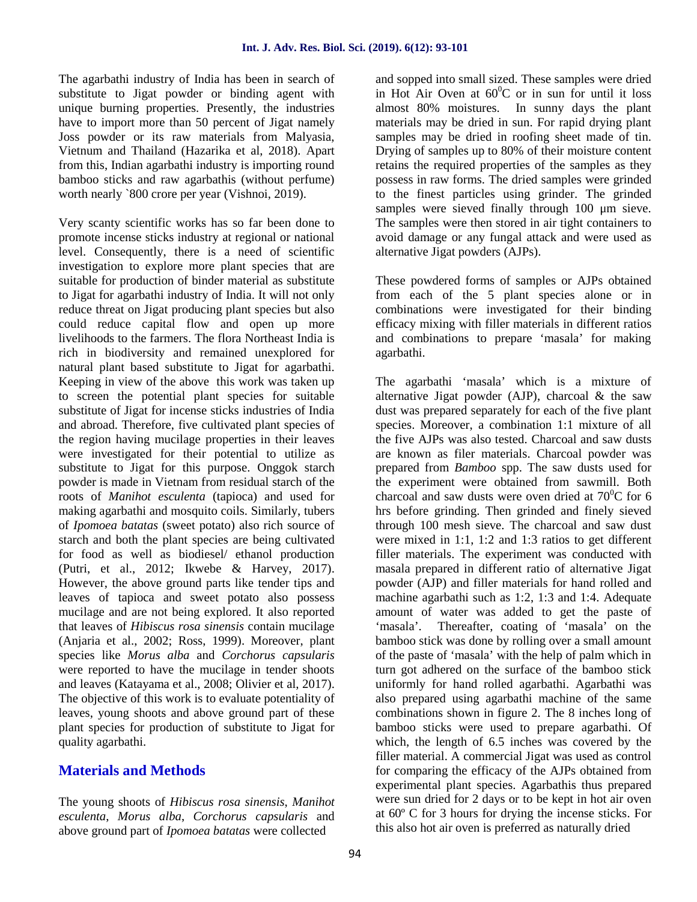The agarbathi industry of India has been in search of substitute to Jigat powder or binding agent with unique burning properties. Presently, the industries have to import more than 50 percent of Jigat namely Joss powder or its raw materials from Malyasia, Vietnum and Thailand (Hazarika et al, 2018). Apart from this, Indian agarbathi industry is importing round bamboo sticks and raw agarbathis (without perfume) worth nearly `800 crore per year (Vishnoi, 2019).

Very scanty scientific works has so far been done to promote incense sticks industry at regional or national level. Consequently, there is a need of scientific investigation to explore more plant species that are suitable for production of binder material as substitute to Jigat for agarbathi industry of India. It will not only reduce threat on Jigat producing plant species but also could reduce capital flow and open up more livelihoods to the farmers. The flora Northeast India is rich in biodiversity and remained unexplored for natural plant based substitute to Jigat for agarbathi. Keeping in view of the above this work was taken up to screen the potential plant species for suitable substitute of Jigat for incense sticks industries of India and abroad. Therefore, five cultivated plant species of the region having mucilage properties in their leaves were investigated for their potential to utilize as substitute to Jigat for this purpose. Onggok starch powder is made in Vietnam from residual starch of the roots of *Manihot esculenta* (tapioca) and used for making agarbathi and mosquito coils. Similarly, tubers of *Ipomoea batatas* (sweet potato) also rich source of starch and both the plant species are being cultivated for food as well as biodiesel/ ethanol production (Putri, et al., 2012; Ikwebe & Harvey, 2017). However, the above ground parts like tender tips and leaves of tapioca and sweet potato also possess mucilage and are not being explored. It also reported that leaves of *Hibiscus rosa sinensis* contain mucilage (Anjaria et al., 2002; Ross, 1999). Moreover, plant species like *Morus alba* and *Corchorus capsularis* were reported to have the mucilage in tender shoots and leaves (Katayama et al., 2008; Olivier et al, 2017). The objective of this work is to evaluate potentiality of leaves, young shoots and above ground part of these plant species for production of substitute to Jigat for quality agarbathi.

## **Materials and Methods**

The young shoots of *Hibiscus rosa sinensis*, *Manihot esculenta*, *Morus alba*, *Corchorus capsularis* and above ground part of *Ipomoea batatas* were collected

and sopped into small sized. These samples were dried in Hot Air Oven at  $60^{\circ}$ C or in sun for until it loss almost 80% moistures. In sunny days the plant materials may be dried in sun. For rapid drying plant samples may be dried in roofing sheet made of tin. Drying of samples up to 80% of their moisture content retains the required properties of the samples as they possess in raw forms. The dried samples were grinded to the finest particles using grinder. The grinded samples were sieved finally through 100 μm sieve. The samples were then stored in air tight containers to avoid damage or any fungal attack and were used as alternative Jigat powders (AJPs).

These powdered forms of samples or AJPs obtained from each of the 5 plant species alone or in combinations were investigated for their binding efficacy mixing with filler materials in different ratios and combinations to prepare 'masala' for making agarbathi.

The agarbathi 'masala' which is a mixture of alternative Jigat powder  $(AJP)$ , charcoal & the saw dust was prepared separately for each of the five plant species. Moreover, a combination 1:1 mixture of all the five AJPs was also tested. Charcoal and saw dusts are known as filer materials. Charcoal powder was prepared from *Bamboo* spp. The saw dusts used for the experiment were obtained from sawmill. Both charcoal and saw dusts were oven dried at  $70^{\circ}$ C for 6 hrs before grinding. Then grinded and finely sieved through 100 mesh sieve. The charcoal and saw dust were mixed in 1:1, 1:2 and 1:3 ratios to get different filler materials. The experiment was conducted with masala prepared in different ratio of alternative Jigat powder (AJP) and filler materials for hand rolled and machine agarbathi such as 1:2, 1:3 and 1:4. Adequate amount of water was added to get the paste of Thereafter, coating of 'masala' on the bamboo stick was done by rolling over a small amount of the paste of 'masala' with the help of palm which in turn got adhered on the surface of the bamboo stick uniformly for hand rolled agarbathi. Agarbathi was also prepared using agarbathi machine of the same combinations shown in figure 2. The 8 inches long of bamboo sticks were used to prepare agarbathi. Of which, the length of 6.5 inches was covered by the filler material. A commercial Jigat was used as control for comparing the efficacy of the AJPs obtained from experimental plant species. Agarbathis thus prepared were sun dried for 2 days or to be kept in hot air oven at 60º C for 3 hours for drying the incense sticks. For this also hot air oven is preferred as naturally dried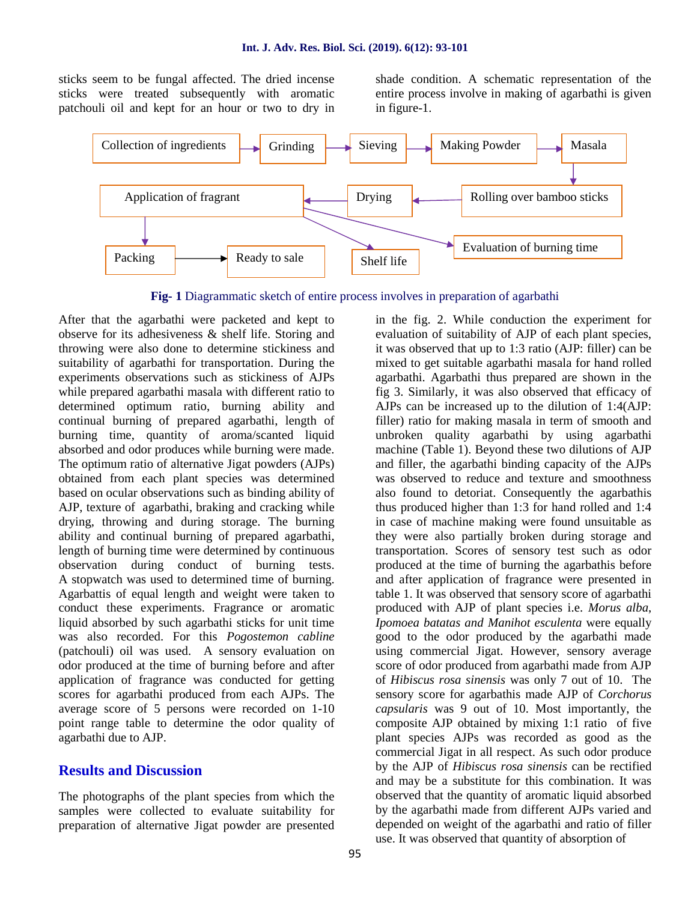sticks seem to be fungal affected. The dried incense sticks were treated subsequently with aromatic patchouli oil and kept for an hour or two to dry in

shade condition. A schematic representation of the entire process involve in making of agarbathi is given in figure-1.



**Fig- 1** Diagrammatic sketch of entire process involves in preparation of agarbathi

After that the agarbathi were packeted and kept to observe for its adhesiveness & shelf life. Storing and throwing were also done to determine stickiness and suitability of agarbathi for transportation. During the experiments observations such as stickiness of AJPs while prepared agarbathi masala with different ratio to determined optimum ratio, burning ability and continual burning of prepared agarbathi, length of burning time, quantity of aroma/scanted liquid absorbed and odor produces while burning were made. The optimum ratio of alternative Jigat powders (AJPs) obtained from each plant species was determined based on ocular observations such as binding ability of AJP, texture of agarbathi, braking and cracking while drying, throwing and during storage. The burning ability and continual burning of prepared agarbathi, length of burning time were determined by continuous observation during conduct of burning tests. A stopwatch was used to determined time of burning. Agarbattis of equal length and weight were taken to conduct these experiments. Fragrance or aromatic liquid absorbed by such agarbathi sticks for unit time was also recorded. For this *Pogostemon cabline* (patchouli) oil was used. A sensory evaluation on odor produced at the time of burning before and after application of fragrance was conducted for getting scores for agarbathi produced from each AJPs. The average score of 5 persons were recorded on 1-10 point range table to determine the odor quality of agarbathi due to AJP.

#### **Results and Discussion**

The photographs of the plant species from which the samples were collected to evaluate suitability for preparation of alternative Jigat powder are presented

in the fig. 2. While conduction the experiment for evaluation of suitability of AJP of each plant species, it was observed that up to 1:3 ratio (AJP: filler) can be mixed to get suitable agarbathi masala for hand rolled agarbathi. Agarbathi thus prepared are shown in the fig 3. Similarly, it was also observed that efficacy of AJPs can be increased up to the dilution of 1:4(AJP: filler) ratio for making masala in term of smooth and unbroken quality agarbathi by using agarbathi machine (Table 1). Beyond these two dilutions of AJP and filler, the agarbathi binding capacity of the AJPs was observed to reduce and texture and smoothness also found to detoriat. Consequently the agarbathis thus produced higher than 1:3 for hand rolled and 1:4 in case of machine making were found unsuitable as they were also partially broken during storage and transportation. Scores of sensory test such as odor produced at the time of burning the agarbathis before and after application of fragrance were presented in table 1. It was observed that sensory score of agarbathi produced with AJP of plant species i.e. *Morus alba*, *Ipomoea batatas and Manihot esculenta* were equally good to the odor produced by the agarbathi made using commercial Jigat. However, sensory average score of odor produced from agarbathi made from AJP of *Hibiscus rosa sinensis* was only 7 out of 10. The sensory score for agarbathis made AJP of *Corchorus capsularis* was 9 out of 10. Most importantly, the composite AJP obtained by mixing 1:1 ratio of five plant species AJPs was recorded as good as the commercial Jigat in all respect. As such odor produce by the AJP of *Hibiscus rosa sinensis* can be rectified and may be a substitute for this combination. It was observed that the quantity of aromatic liquid absorbed by the agarbathi made from different AJPs varied and depended on weight of the agarbathi and ratio of filler use. It was observed that quantity of absorption of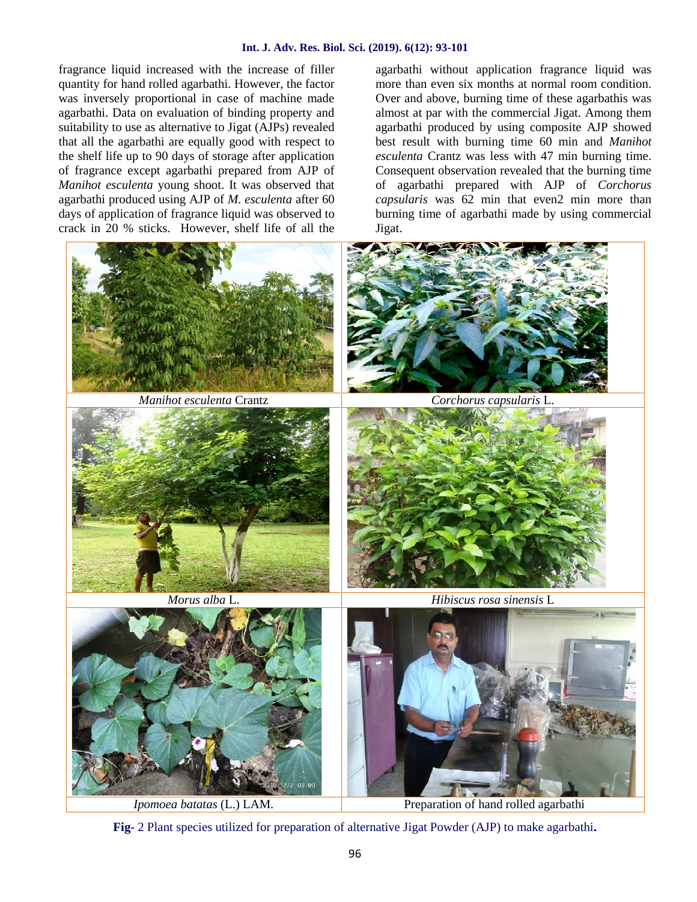fragrance liquid increased with the increase of filler quantity for hand rolled agarbathi. However, the factor was inversely proportional in case of machine made agarbathi. Data on evaluation of binding property and suitability to use as alternative to Jigat (AJPs) revealed that all the agarbathi are equally good with respect to the shelf life up to 90 days of storage after application of fragrance except agarbathi prepared from AJP of *Manihot esculenta* young shoot. It was observed that agarbathi produced using AJP of *M. esculenta* after 60 days of application of fragrance liquid was observed to crack in 20 % sticks. However, shelf life of all the

agarbathi without application fragrance liquid was more than even six months at normal room condition. Over and above, burning time of these agarbathis was almost at par with the commercial Jigat. Among them agarbathi produced by using composite AJP showed best result with burning time 60 min and *Manihot esculenta* Crantz was less with 47 min burning time. Consequent observation revealed that the burning time of agarbathi prepared with AJP of *Corchorus capsularis* was 62 min that even2 min more than burning time of agarbathi made by using commercial Jigat.



**Fig**- 2 Plant species utilized for preparation of alternative Jigat Powder (AJP) to make agarbathi**.**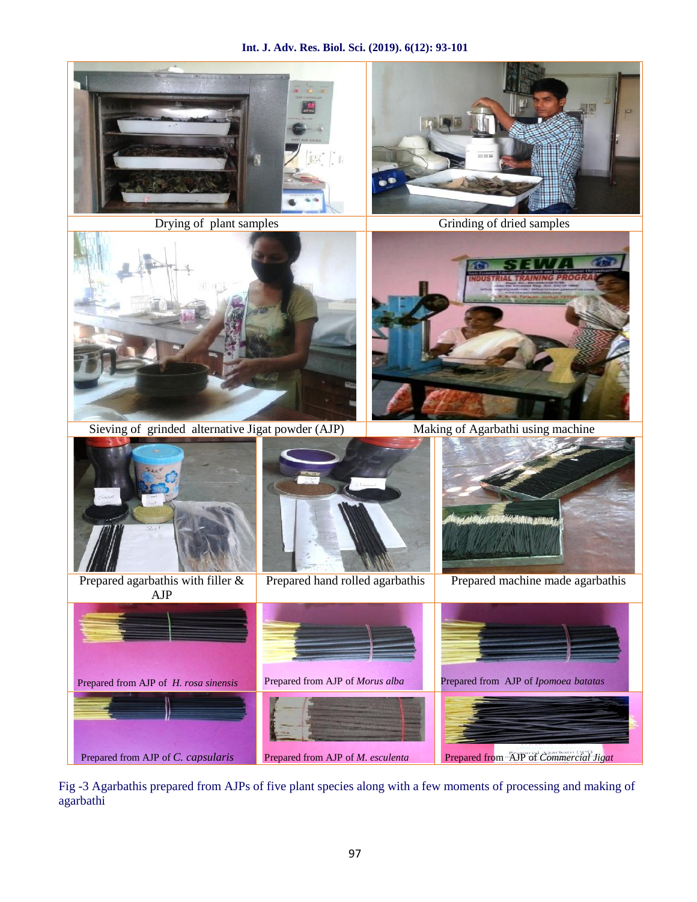

Sieving of grinded alternative Jigat powder (AJP) Making of Agarbathi using machine Prepared agarbathis with filler & Prepared hand rolled agarbathis AJP Prepared machine made agarbathis Prepared from AJP of *H. rosa sinensis* Prepared from AJP of *Morus alba* Prepared from AJP of *Ipomoea batatas* Prepared from AJP of *C. capsularis* Prepared from AJP of *M. esculenta* Prepared from AJP of*Commercial Jigat*

Fig -3 Agarbathis prepared from AJPs of five plant species along with a few moments of processing and making of agarbathi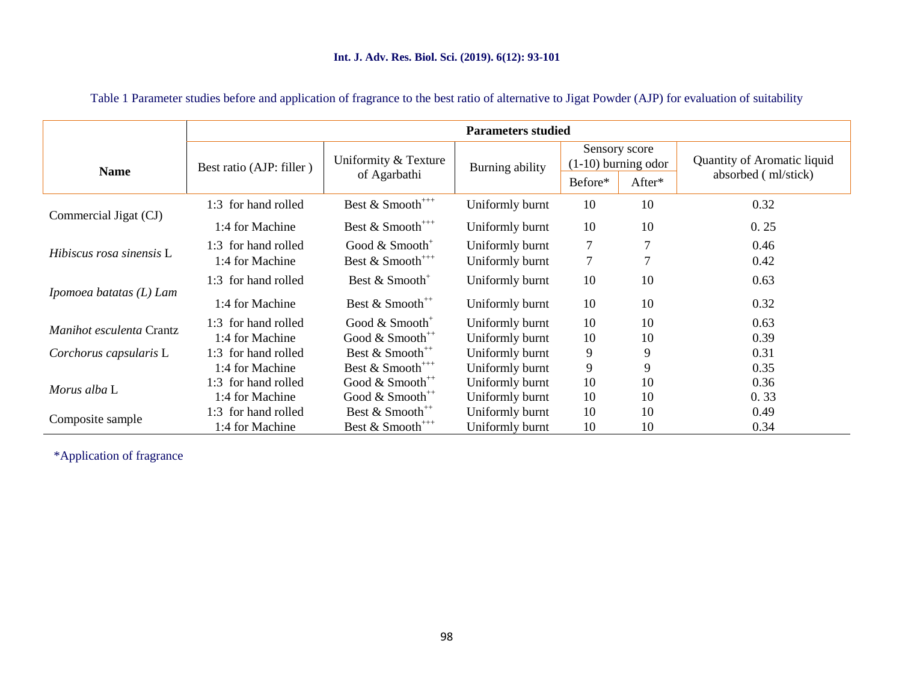#### **Int. J. Adv. Res. Biol. Sci. (2019). 6(12): 93-101**

|                          | <b>Parameters studied</b> |                                              |                 |                                        |        |                             |  |  |  |  |
|--------------------------|---------------------------|----------------------------------------------|-----------------|----------------------------------------|--------|-----------------------------|--|--|--|--|
| <b>Name</b>              | Best ratio (AJP: filler)  | Uniformity & Texture                         | Burning ability | Sensory score<br>$(1-10)$ burning odor |        | Quantity of Aromatic liquid |  |  |  |  |
|                          |                           | of Agarbathi                                 |                 | Before*                                | After* | absorbed (ml/stick)         |  |  |  |  |
|                          | 1:3 for hand rolled       | Best & Smooth <sup>+++</sup>                 | Uniformly burnt | 10                                     | 10     | 0.32                        |  |  |  |  |
| Commercial Jigat (CJ)    | 1:4 for Machine           | Best & Smooth <sup>+++</sup>                 | Uniformly burnt | 10<br>10                               |        | 0.25                        |  |  |  |  |
| Hibiscus rosa sinensis L | 1:3 for hand rolled       | Good $& \text{Smooth}^+$                     | Uniformly burnt | 7                                      | 7      | 0.46                        |  |  |  |  |
|                          | 1:4 for Machine           | Best & Smooth <sup>***</sup>                 | Uniformly burnt | 7                                      | 7      | 0.42                        |  |  |  |  |
|                          | 1:3 for hand rolled       | Best & Smooth <sup>+</sup>                   | Uniformly burnt | 10                                     | 10     | 0.63                        |  |  |  |  |
| Ipomoea batatas (L) Lam  | 1:4 for Machine           | Best $& \text{Smooth}^{++}$                  | Uniformly burnt | 10                                     | 10     | 0.32                        |  |  |  |  |
|                          | 1:3 for hand rolled       | Good $& \text{Smooth}^+$                     | Uniformly burnt | 10                                     | 10     | 0.63                        |  |  |  |  |
| Manihot esculenta Crantz | 1:4 for Machine           | Good $& \text{Smooth}^{++}$                  | Uniformly burnt | 10                                     | 10     | 0.39                        |  |  |  |  |
| Corchorus capsularis L   | 1:3 for hand rolled       | Best & Smooth <sup>++</sup>                  | Uniformly burnt | 9                                      | 9      | 0.31                        |  |  |  |  |
|                          | 1:4 for Machine           | Best & Smooth <sup>***</sup>                 | Uniformly burnt | 9                                      | 9      | 0.35                        |  |  |  |  |
| Morus alba L             | 1:3 for hand rolled       | Good $& \text{Smooth}^{++}$                  | Uniformly burnt | 10                                     | 10     | 0.36                        |  |  |  |  |
|                          | 1:4 for Machine           | Good $& \text{Smooth}^{++}$                  | Uniformly burnt | 10                                     | 10     | 0.33                        |  |  |  |  |
|                          | 1:3 for hand rolled       | Best & Smooth <sup>++</sup>                  | Uniformly burnt | 10                                     | 10     | 0.49                        |  |  |  |  |
| Composite sample         | 1:4 for Machine           | Best & Smooth <sup><math>^{***}</math></sup> | Uniformly burnt | 10                                     | 10     | 0.34                        |  |  |  |  |

## Table 1 Parameter studies before and application of fragrance to the best ratio of alternative to Jigat Powder (AJP) for evaluation of suitability

\*Application of fragrance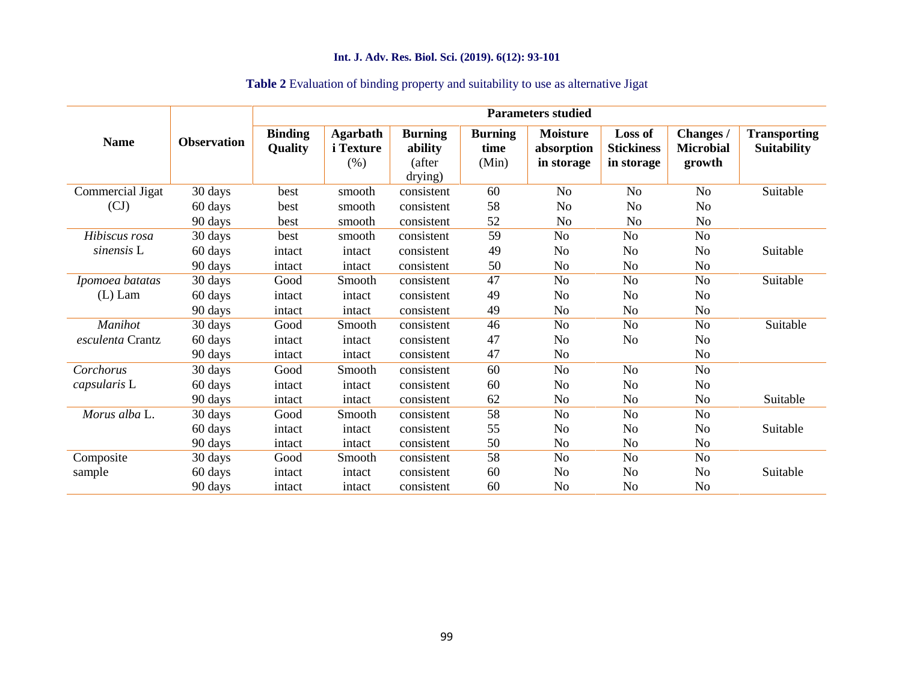## **Int. J. Adv. Res. Biol. Sci. (2019). 6(12): 93-101**

| <b>Name</b>      | <b>Observation</b> | <b>Parameters studied</b> |                                             |                                                |                                 |                                             |                                            |                                         |                                           |  |
|------------------|--------------------|---------------------------|---------------------------------------------|------------------------------------------------|---------------------------------|---------------------------------------------|--------------------------------------------|-----------------------------------------|-------------------------------------------|--|
|                  |                    | <b>Binding</b><br>Quality | <b>Agarbath</b><br><i>i</i> Texture<br>(% ) | <b>Burning</b><br>ability<br>(after<br>drying) | <b>Burning</b><br>time<br>(Min) | <b>Moisture</b><br>absorption<br>in storage | Loss of<br><b>Stickiness</b><br>in storage | Changes /<br><b>Microbial</b><br>growth | <b>Transporting</b><br><b>Suitability</b> |  |
| Commercial Jigat | 30 days            | best                      | smooth                                      | consistent                                     | 60                              | N <sub>o</sub>                              | No                                         | N <sub>o</sub>                          | Suitable                                  |  |
| (CJ)             | 60 days            | best                      | smooth                                      | consistent                                     | 58                              | N <sub>o</sub>                              | No                                         | N <sub>o</sub>                          |                                           |  |
|                  | 90 days            | best                      | smooth                                      | consistent                                     | 52                              | N <sub>o</sub>                              | N <sub>0</sub>                             | No                                      |                                           |  |
| Hibiscus rosa    | 30 days            | best                      | smooth                                      | consistent                                     | 59                              | No                                          | No                                         | No                                      |                                           |  |
| sinensis L       | 60 days            | intact                    | intact                                      | consistent                                     | 49                              | No                                          | No                                         | No                                      | Suitable                                  |  |
|                  | 90 days            | intact                    | intact                                      | consistent                                     | 50                              | No                                          | N <sub>o</sub>                             | N <sub>o</sub>                          |                                           |  |
| Ipomoea batatas  | 30 days            | Good                      | Smooth                                      | consistent                                     | 47                              | No                                          | N <sub>o</sub>                             | N <sub>o</sub>                          | Suitable                                  |  |
| $(L)$ Lam        | 60 days            | intact                    | intact                                      | consistent                                     | 49                              | No                                          | N <sub>o</sub>                             | N <sub>o</sub>                          |                                           |  |
|                  | 90 days            | intact                    | intact                                      | consistent                                     | 49                              | No                                          | N <sub>o</sub>                             | N <sub>0</sub>                          |                                           |  |
| Manihot          | 30 days            | Good                      | Smooth                                      | consistent                                     | 46                              | No                                          | N <sub>o</sub>                             | No                                      | Suitable                                  |  |
| esculenta Crantz | 60 days            | intact                    | intact                                      | consistent                                     | 47                              | N <sub>o</sub>                              | N <sub>o</sub>                             | N <sub>0</sub>                          |                                           |  |
|                  | 90 days            | intact                    | intact                                      | consistent                                     | 47                              | N <sub>o</sub>                              |                                            | No                                      |                                           |  |
| Corchorus        | 30 days            | Good                      | Smooth                                      | consistent                                     | 60                              | No                                          | N <sub>o</sub>                             | No                                      |                                           |  |
| capsularis L     | 60 days            | intact                    | intact                                      | consistent                                     | 60                              | No                                          | No                                         | N <sub>0</sub>                          |                                           |  |
|                  | 90 days            | intact                    | intact                                      | consistent                                     | 62                              | No                                          | N <sub>o</sub>                             | No                                      | Suitable                                  |  |
| Morus alba L.    | 30 days            | Good                      | Smooth                                      | consistent                                     | 58                              | No                                          | No                                         | No                                      |                                           |  |
|                  | 60 days            | intact                    | intact                                      | consistent                                     | 55                              | N <sub>0</sub>                              | No                                         | N <sub>o</sub>                          | Suitable                                  |  |
|                  | 90 days            | intact                    | intact                                      | consistent                                     | 50                              | N <sub>0</sub>                              | No                                         | N <sub>0</sub>                          |                                           |  |
| Composite        | 30 days            | Good                      | Smooth                                      | consistent                                     | 58                              | No                                          | No                                         | No                                      |                                           |  |
| sample           | 60 days            | intact                    | intact                                      | consistent                                     | 60                              | N <sub>0</sub>                              | N <sub>o</sub>                             | N <sub>0</sub>                          | Suitable                                  |  |
|                  | 90 days            | intact                    | intact                                      | consistent                                     | 60                              | N <sub>0</sub>                              | No                                         | N <sub>o</sub>                          |                                           |  |

## **Table 2** Evaluation of binding property and suitability to use as alternative Jigat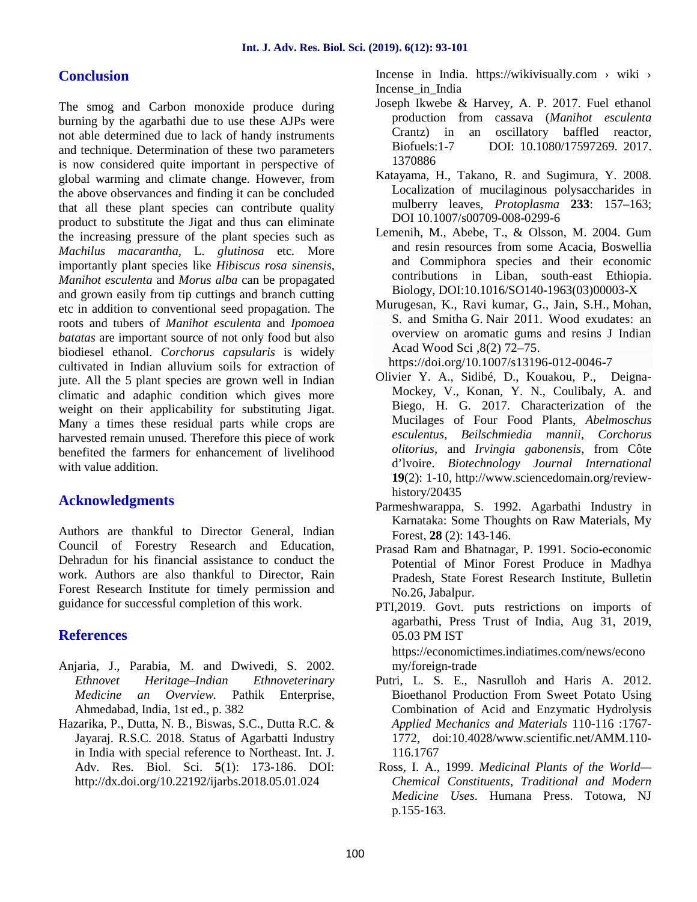## **Conclusion**

The smog and Carbon monoxide produce during burning by the agarbathi due to use these AJPs were not able determined due to lack of handy instruments and technique. Determination of these two parameters is now considered quite important in perspective of global warming and climate change. However, from the above observances and finding it can be concluded that all these plant species can contribute quality product to substitute the Jigat and thus can eliminate the increasing pressure of the plant species such as *Machilus macarantha,* L*. glutinosa* etc*.* More importantly plant species like *Hibiscus rosa sinensis*, *Manihot esculenta* and *Morus alba* can be propagated and grown easily from tip cuttings and branch cutting etc in addition to conventional seed propagation. The roots and tubers of *Manihot esculenta* and *Ipomoea batatas* are important source of not only food but also biodiesel ethanol. *Corchorus capsularis* is widely cultivated in Indian alluvium soils for extraction of jute. All the 5 plant species are grown well in Indian climatic and adaphic condition which gives more weight on their applicability for substituting Jigat. Many a times these residual parts while crops are harvested remain unused. Therefore this piece of work benefited the farmers for enhancement of livelihood with value addition

## **Acknowledgments**

Authors are thankful to Director General, Indian Council of Forestry Research and Education, Dehradun for his financial assistance to conduct the work. Authors are also thankful to Director, Rain Forest Research Institute for timely permission and guidance for successful completion of this work.

## **References**

- Anjaria, J., Parabia, M. and Dwivedi, S. 2002. *Ethnovet Heritage–Indian Ethnoveterinary Medicine an Overview.* Pathik Enterprise, Ahmedabad, India, 1st ed., p. 382
- Hazarika, P., Dutta, N. B., Biswas, S.C., Dutta R.C. & Jayaraj. R.S.C. 2018. Status of Agarbatti Industry in India with special reference to Northeast. Int. J. Adv. Res. Biol. Sci. **5**(1): 173-186. DOI: http://dx.doi.org/10.22192/ijarbs.2018.05.01.024

Incense in India. https://wikivisually.com › wiki › Incense\_in\_India

- Joseph Ikwebe & Harvey, A. P. 2017. Fuel ethanol production from cassava (*Manihot esculenta* Crantz) in an oscillatory baffled reactor, Biofuels:1-7 DOI: 10.1080/17597269. 2017. 1370886
- Katayama, H., Takano, R. and Sugimura, Y. 2008. Localization of mucilaginous polysaccharides in mulberry leaves, *Protoplasma* **233**: 157–163; DOI 10.1007/s00709-008-0299-6
- Lemenih, M., Abebe, T., & Olsson, M. 2004. Gum and resin resources from some Acacia, Boswellia and Commiphora species and their economic contributions in Liban, south-east Ethiopia. Biology, DOI:10.1016/SO140-1963(03)00003-X
- Murugesan, K., Ravi kumar, G., Jain, S.H., Mohan, S. and Smitha G. Nair 2011. Wood exudates: an overview on aromatic gums and resins J Indian Acad Wood Sci ,8(2) 72–75.

https://doi.org/10.1007/s13196-012-0046-7

- Olivier Y. A., Sidibé, D., Kouakou, P., Deigna- Mockey, V., Konan, Y. N., Coulibaly, A. and Biego, H. G. 2017. Characterization of the Mucilages of Four Food Plants, *Abelmoschus esculentus*, *Beilschmiedia mannii*, *Corchorus olitorius*, and *Irvingia gabonensis*, from Côte d'lvoire. *Biotechnology Journal International* **19**(2): 1-10, http://www.sciencedomain.org/review history/20435
- Parmeshwarappa, S. 1992. Agarbathi Industry in Karnataka: Some Thoughts on Raw Materials, My Forest, **28** (2): 143-146.
- Prasad Ram and Bhatnagar, P. 1991. Socio-economic Potential of Minor Forest Produce in Madhya Pradesh, State Forest Research Institute, Bulletin No.26, Jabalpur.
- PTI,2019. Govt. puts restrictions on imports of agarbathi, Press Trust of India, Aug 31, 2019, 05.03 PM IST

https://economictimes.indiatimes.com/news/econo my/foreign-trade

- Putri, L. S. E., Nasrulloh and Haris A. 2012. Bioethanol Production From Sweet Potato Using Combination of Acid and Enzymatic Hydrolysis *Applied Mechanics and Materials* 110-116 :1767- 1772, doi:10.4028/www.scientific.net/AMM.110- 116.1767
- Ross, I. A., 1999. *Medicinal Plants of the World— Chemical Constituents, Traditional and Modern Medicine Uses*. Humana Press. Totowa, NJ p.155‐163.